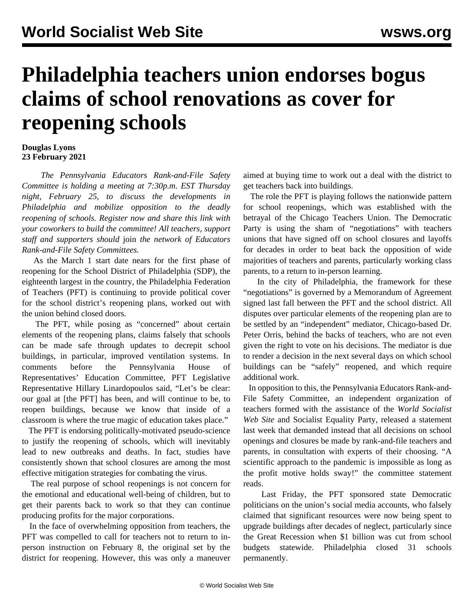## **Philadelphia teachers union endorses bogus claims of school renovations as cover for reopening schools**

## **Douglas Lyons 23 February 2021**

 *The Pennsylvania Educators Rank-and-File Safety Committee is holding a meeting at 7:30p.m. EST Thursday night, February 25, to discuss the developments in Philadelphia and mobilize opposition to the deadly reopening of schools. [Register now and share this link with](https://attendee.gotowebinar.com/register/1065241363014917903) [your coworkers to build the committee!](https://attendee.gotowebinar.com/register/1065241363014917903) All teachers, support staff and supporters should* [join](/edsafety) *the network of Educators Rank-and-File Safety Committees.*

 As the March 1 start date nears for the first phase of reopening for the School District of Philadelphia (SDP), the eighteenth largest in the country, the Philadelphia Federation of Teachers (PFT) is continuing to provide political cover for the school district's reopening plans, worked out with the union behind closed doors.

 The PFT, while posing as "concerned" about certain elements of the reopening plans, claims falsely that schools can be made safe through updates to decrepit school buildings, in particular, improved ventilation systems. In comments before the Pennsylvania House of Representatives' Education Committee, PFT Legislative Representative Hillary Linardopoulos said, "Let's be clear: our goal at [the PFT] has been, and will continue to be, to reopen buildings, because we know that inside of a classroom is where the true magic of education takes place."

 The PFT is [endorsing](/en/articles/2021/02/17/phil-f16-f17.html) politically-motivated pseudo-science to justify the reopening of schools, which will inevitably lead to new outbreaks and deaths. In fact, studies have consistently shown that school closures are among the most effective mitigation strategies for combating the virus.

 The real purpose of school reopenings is not concern for the emotional and educational well-being of children, but to get their parents back to work so that they can continue producing profits for the major corporations.

 In the face of overwhelming opposition from teachers, the PFT was compelled to call for teachers not to return to inperson instruction on February 8, the original set by the district for reopening. However, this was only a maneuver aimed at buying time to work out a deal with the district to get teachers back into buildings.

 The role the PFT is playing follows the nationwide pattern for school reopenings, which was established with the betrayal of the Chicago Teachers Union. The Democratic Party is using the sham of "negotiations" with teachers unions that have signed off on school closures and layoffs for decades in order to beat back the opposition of wide majorities of teachers and parents, particularly working class parents, to a return to in-person learning.

 In the city of Philadelphia, the framework for these "negotiations" is governed by a Memorandum of Agreement signed last fall between the PFT and the school district. All disputes over particular elements of the reopening plan are to be settled by an "independent" mediator, Chicago-based Dr. Peter Orris, behind the backs of teachers, who are not even given the right to vote on his decisions. The mediator is due to render a decision in the next several days on which school buildings can be "safely" reopened, and which require additional work.

 In opposition to this, the Pennsylvania Educators Rank-and-File Safety Committee, an independent organization of teachers formed with the assistance of the *World Socialist Web Site* and Socialist Equality Party, released a [statement](/en/articles/2021/02/20/rfsc-f20.html) [last week](/en/articles/2021/02/20/rfsc-f20.html) that demanded instead that all decisions on school openings and closures be made by rank-and-file teachers and parents, in consultation with experts of their choosing. "A scientific approach to the pandemic is impossible as long as the profit motive holds sway!" the committee statement reads.

 Last Friday, the PFT sponsored state Democratic politicians on the union's social media accounts, who falsely claimed that significant resources were now being spent to upgrade buildings after decades of neglect, particularly since the Great Recession when \$1 billion was cut from school budgets statewide. Philadelphia closed 31 schools permanently.